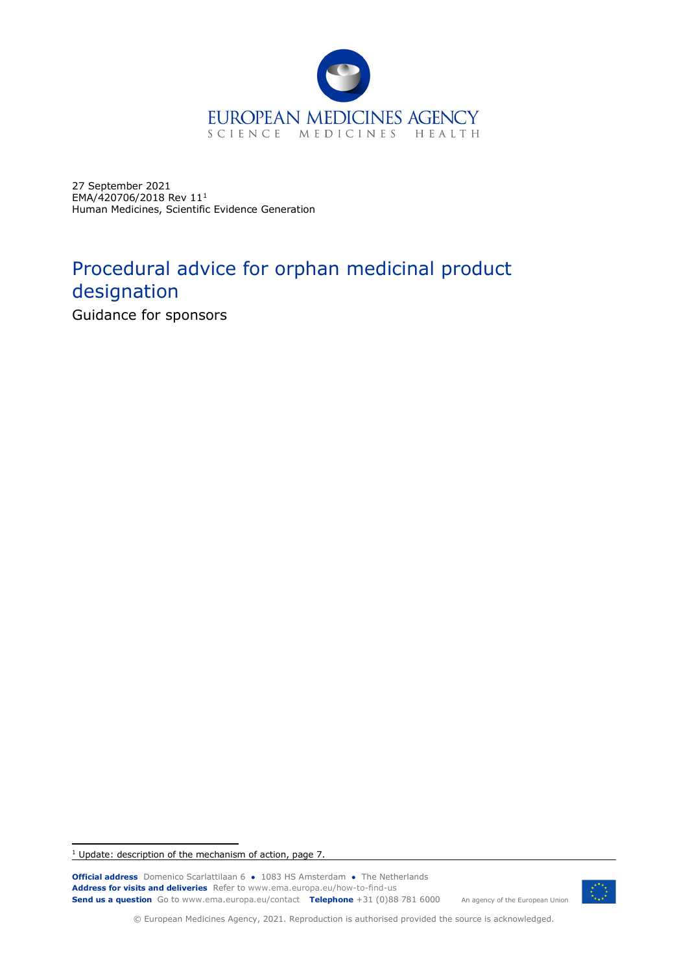

27 September 2021 EMA/420706/2018 Rev 11[1](#page-0-0) Human Medicines, Scientific Evidence Generation

# Procedural advice for orphan medicinal product designation

Guidance for sponsors

<span id="page-0-0"></span><sup>1</sup> Update: description of the mechanism of action, page 7.

**Official address** Domenico Scarlattilaan 6 **●** 1083 HS Amsterdam **●** The Netherlands An agency of the European Union **Address for visits and deliveries** Refer to www.ema.europa.eu/how-to-find-us **Send us a question** Go to www.ema.europa.eu/contact **Telephone** +31 (0)88 781 6000



© European Medicines Agency, 2021. Reproduction is authorised provided the source is acknowledged.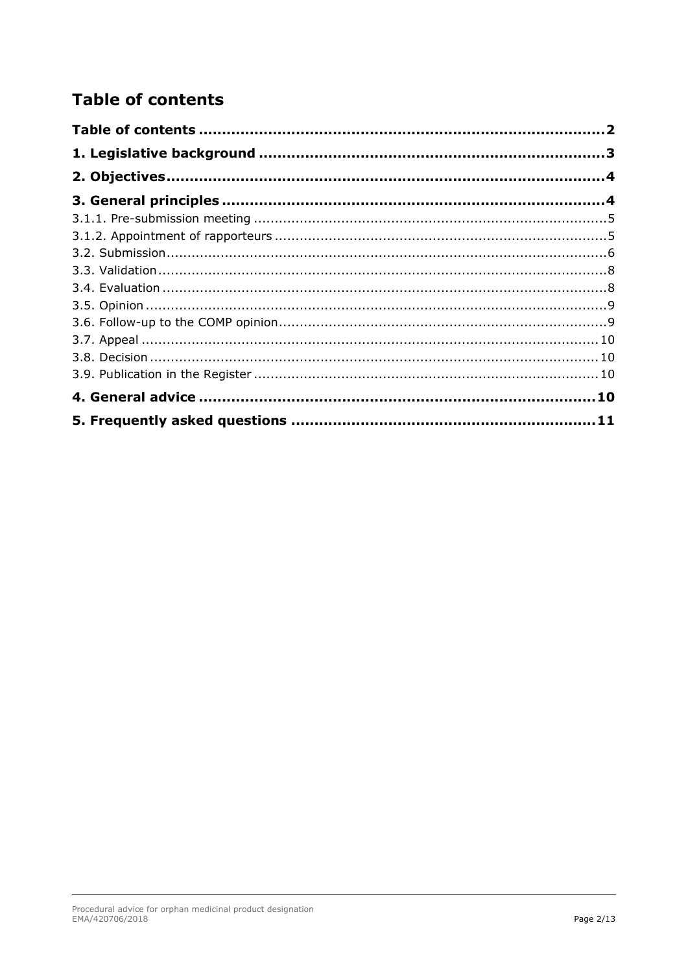# <span id="page-1-0"></span>**Table of contents**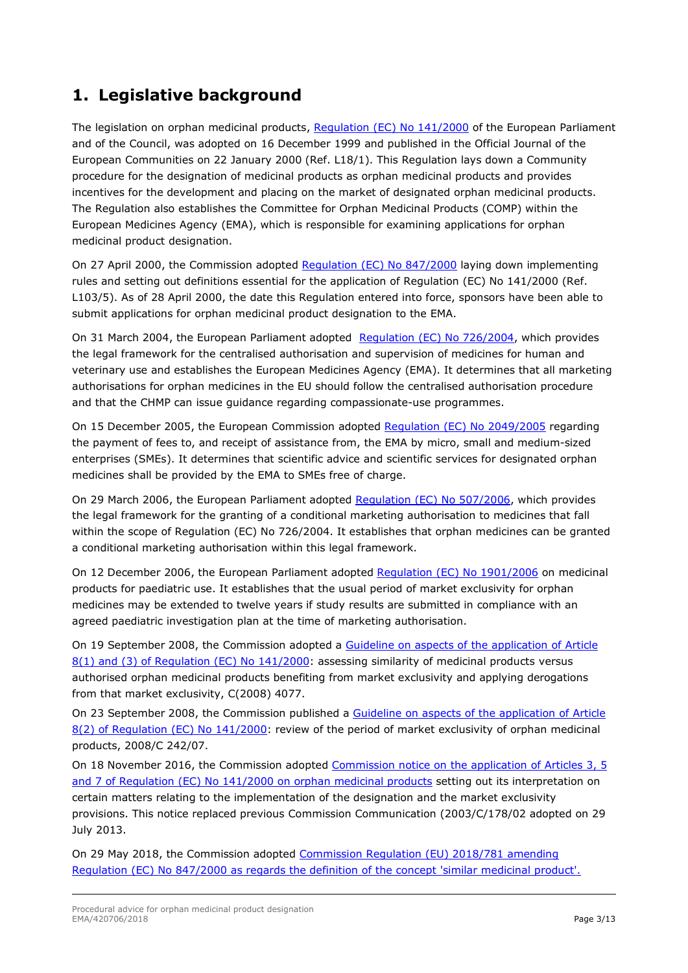# <span id="page-2-0"></span>**1. Legislative background**

The legislation on orphan medicinal products, [Regulation \(EC\) No 141/2000](http://ec.europa.eu/health/files/eudralex/vol-1/reg_2000_141/reg_2000_141_en.pdf) of the European Parliament and of the Council, was adopted on 16 December 1999 and published in the Official Journal of the European Communities on 22 January 2000 (Ref. L18/1). This Regulation lays down a Community procedure for the designation of medicinal products as orphan medicinal products and provides incentives for the development and placing on the market of designated orphan medicinal products. The Regulation also establishes the Committee for Orphan Medicinal Products (COMP) within the European Medicines Agency (EMA), which is responsible for examining applications for orphan medicinal product designation.

On 27 April 2000, the Commission adopted [Regulation \(EC\) No 847/2000](http://ec.europa.eu/health/files/eudralex/vol-1/reg_2000_847/reg_2000_847_en.pdf) laying down implementing rules and setting out definitions essential for the application of Regulation (EC) No 141/2000 (Ref. L103/5). As of 28 April 2000, the date this Regulation entered into force, sponsors have been able to submit applications for orphan medicinal product designation to the EMA.

On 31 March 2004, the European Parliament adopted [Regulation \(EC\) No 726/2004,](http://eur-lex.europa.eu/LexUriServ/LexUriServ.do?uri=OJ:L:2004:136:0001:0033:en:PDF) which provides the legal framework for the centralised authorisation and supervision of medicines for human and veterinary use and establishes the European Medicines Agency (EMA). It determines that all marketing authorisations for orphan medicines in the EU should follow the [centralised authorisation procedure](http://www.ema.europa.eu/ema/index.jsp?curl=pages/about_us/general/general_content_000109.jsp&mid=WC0b01ac0580028a47) and that the CHMP can issue guidance regarding [compassionate-use](http://www.ema.europa.eu/ema/index.jsp?curl=pages/regulation/general/general_content_000293.jsp&mid=WC0b01ac058007e691) programmes.

On 15 December 2005, the European Commission adopted [Regulation \(EC\) No 2049/2005](http://eur-lex.europa.eu/LexUriServ/LexUriServ.do?uri=OJ:L:2005:329:0004:0007:en:PDF) regarding the payment of fees to, and receipt of assistance from, the EMA by micro, small and medium-sized enterprises (SMEs). It determines that scientific advice and scientific services for designated orphan medicines shall be provided by the EMA to SMEs free of charge.

On 29 March 2006, the European Parliament adopted [Regulation \(EC\) No 507/2006,](http://ec.europa.eu/health/files/eudralex/vol-1/reg_2006_507/reg_2006_507_en.pdf) which provides the legal framework for the granting of a [conditional marketing authorisation](http://www.ema.europa.eu/ema/index.jsp?curl=pages/regulation/q_and_a/q_and_a_detail_000133.jsp&mid=WC0b01ac058066e978) to medicines that fall within the scope of Regulation (EC) No 726/2004. It establishes that orphan medicines can be granted a conditional marketing authorisation within this legal framework.

On 12 December 2006, the European Parliament adopted [Regulation \(EC\) No 1901/2006](http://ec.europa.eu/health/files/eudralex/vol-1/reg_2006_1901/reg_2006_1901_en.pdf) on medicinal products for paediatric use. It establishes that the usual period of market exclusivity for orphan medicines may be extended to twelve years if study results are submitted in compliance with an agreed paediatric investigation plan at the time of marketing authorisation.

On 19 September 2008, the Commission adopted a [Guideline on aspects of the application of Article](http://ec.europa.eu/health/files/orphanmp/doc/c_2008_4077_en.pdf)  [8\(1\) and \(3\) of Regulation \(EC\) No 141/2000:](http://ec.europa.eu/health/files/orphanmp/doc/c_2008_4077_en.pdf) assessing similarity of medicinal products versus authorised orphan medicinal products benefiting from market exclusivity and applying derogations from that market exclusivity, C(2008) 4077.

On 23 September 2008, the Commission published a Guideline on aspects of the application of Article [8\(2\) of Regulation \(EC\) No 141/2000:](http://eur-lex.europa.eu/LexUriServ/LexUriServ.do?uri=OJ:C:2008:242:0008:0011:EN:PDF) review of the period of market exclusivity of orphan medicinal products, 2008/C 242/07.

On 18 November 2016, the Commission adopted [Commission notice on the application of Articles 3, 5](https://eur-lex.europa.eu/legal-content/EN/TXT/PDF/?uri=OJ:JOC_2016_424_R_0003&from=EN)  [and 7 of Regulation \(EC\) No 141/2000 on orphan medicinal products](https://eur-lex.europa.eu/legal-content/EN/TXT/PDF/?uri=OJ:JOC_2016_424_R_0003&from=EN) setting out its interpretation on certain matters relating to the implementation of the designation and the market exclusivity provisions. This notice replaced previous Commission Communication (2003/C/178/02 adopted on 29 July 2013.

On 29 May 2018, the Commission adopted [Commission Regulation \(EU\) 2018/781 amending](https://eur-lex.europa.eu/legal-content/EN/TXT/?uri=uriserv:OJ.L_.2018.132.01.0001.01.ENG&toc=OJ:L:2018:132:TOC)  [Regulation \(EC\) No 847/2000 as regards the definition of the concept 'similar medicinal product'.](https://eur-lex.europa.eu/legal-content/EN/TXT/?uri=uriserv:OJ.L_.2018.132.01.0001.01.ENG&toc=OJ:L:2018:132:TOC)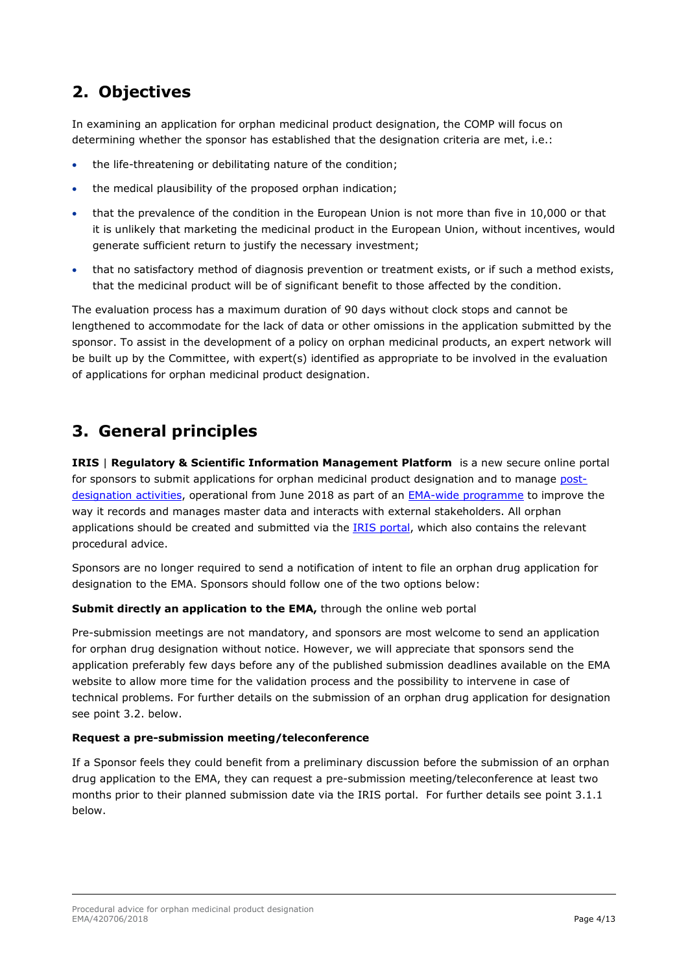# <span id="page-3-0"></span>**2. Objectives**

In examining an application for orphan medicinal product designation, the COMP will focus on determining whether the sponsor has established that the designation criteria are met, i.e.:

- the life-threatening or debilitating nature of the condition;
- the medical plausibility of the proposed orphan indication;
- that the prevalence of the condition in the European Union is not more than five in 10,000 or that it is unlikely that marketing the medicinal product in the European Union, without incentives, would generate sufficient return to justify the necessary investment;
- that no satisfactory method of diagnosis prevention or treatment exists, or if such a method exists, that the medicinal product will be of significant benefit to those affected by the condition.

The evaluation process has a maximum duration of 90 days without clock stops and cannot be lengthened to accommodate for the lack of data or other omissions in the application submitted by the sponsor. To assist in the development of a policy on orphan medicinal products, an expert network will be built up by the Committee, with expert(s) identified as appropriate to be involved in the evaluation of applications for orphan medicinal product designation.

# <span id="page-3-1"></span>**3. General principles**

**IRIS** | **Regulatory & Scientific Information Management Platform** is a new secure online portal for sponsors to submit applications for orphan medicinal product designation and to manage [post](http://www.ema.europa.eu/ema/index.jsp?curl=pages/regulation/general/general_content_000554.jsp&mid=WC0b01ac058061ecbb)[designation activities,](http://www.ema.europa.eu/ema/index.jsp?curl=pages/regulation/general/general_content_000554.jsp&mid=WC0b01ac058061ecbb) operational from June 2018 as part of an **EMA-wide programme** to improve the way it records and manages master data and interacts with external stakeholders. All orphan applications should be created and submitted via the [IRIS portal,](https://iris.ema.europa.eu/) which also contains the relevant procedural advice.

Sponsors are no longer required to send a notification of intent to file an orphan drug application for designation to the EMA. Sponsors should follow one of the two options below:

#### **Submit directly an application to the EMA,** through the online web portal

Pre-submission meetings are not mandatory, and sponsors are most welcome to send an application for orphan drug designation without notice. However, we will appreciate that sponsors send the application preferably few days before any of the published submission deadlines available on the [EMA](http://www.ema.europa.eu/ema/index.jsp?curl=pages/regulation/general/general_content_000037.jsp&mid=WC0b01ac0580024c5d)  [website](http://www.ema.europa.eu/ema/index.jsp?curl=pages/regulation/general/general_content_000037.jsp&mid=WC0b01ac0580024c5d) to allow more time for the validation process and the possibility to intervene in case of technical problems. For further details on the submission of an orphan drug application for designation see point 3.2. below.

#### **Request a pre-submission meeting/teleconference**

If a Sponsor feels they could benefit from a preliminary discussion before the submission of an orphan drug application to the EMA, they can request a pre-submission meeting/teleconference at least two months prior to their planned submission date via the IRIS portal. For further details see point 3.1.1 below.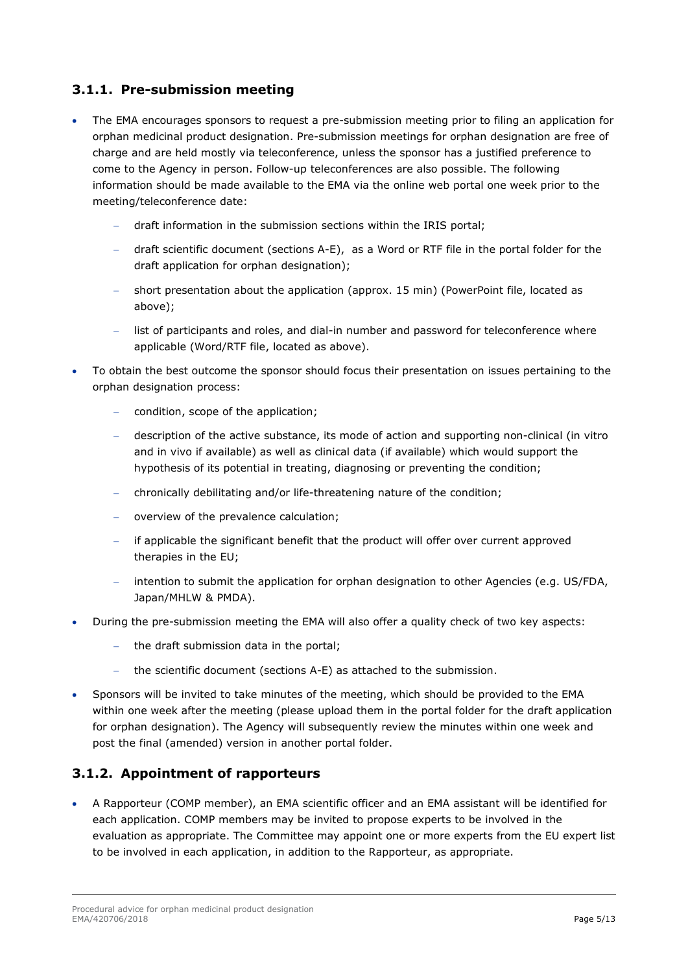## <span id="page-4-0"></span>**3.1.1. Pre-submission meeting**

- The EMA encourages sponsors to request a pre-submission meeting prior to filing an application for orphan medicinal product designation. Pre-submission meetings for orphan designation are free of charge and are held mostly via teleconference, unless the sponsor has a justified preference to come to the Agency in person. Follow-up teleconferences are also possible. The following information should be made available to the EMA via the online web portal one week prior to the meeting/teleconference date:
	- − draft information in the submission sections within the IRIS portal;
	- − draft [scientific document \(sections A-E\)](http://www.ema.europa.eu/docs/en_GB/document_library/Template_or_form/2011/10/WC500116306.doc), as a Word or RTF file in the portal folder for the draft application for orphan designation);
	- − short presentation about the application (approx. 15 min) (PowerPoint file, located as above);
	- list of participants and roles, and dial-in number and password for teleconference where applicable (Word/RTF file, located as above).
- To obtain the best outcome the sponsor should focus their presentation on issues pertaining to the orphan designation process:
	- condition, scope of the application;
	- − description of the active substance, its mode of action and supporting non-clinical (in vitro and in vivo if available) as well as clinical data (if available) which would support the hypothesis of its potential in treating, diagnosing or preventing the condition;
	- − chronically debilitating and/or life-threatening nature of the condition;
	- − overview of the prevalence calculation;
	- − if applicable the significant benefit that the product will offer over current approved therapies in the EU;
	- intention to submit the application for orphan designation to other Agencies (e.g. US/FDA, Japan/MHLW & PMDA).
- During the pre-submission meeting the EMA will also offer a quality check of two key aspects:
	- − the draft submission data in the portal;
	- the scientific document (sections A-E) as attached to the submission.
- Sponsors will be invited to take minutes of the meeting, which should be provided to the EMA within one week after the meeting (please upload them in the portal folder for the draft application for orphan designation). The Agency will subsequently review the minutes within one week and post the final (amended) version in another portal folder.

### <span id="page-4-1"></span>**3.1.2. Appointment of rapporteurs**

• A Rapporteur (COMP member), an EMA scientific officer and an EMA assistant will be identified for each application. COMP members may be invited to propose experts to be involved in the evaluation as appropriate. The Committee may appoint one or more experts from the EU expert list to be involved in each application, in addition to the Rapporteur, as appropriate.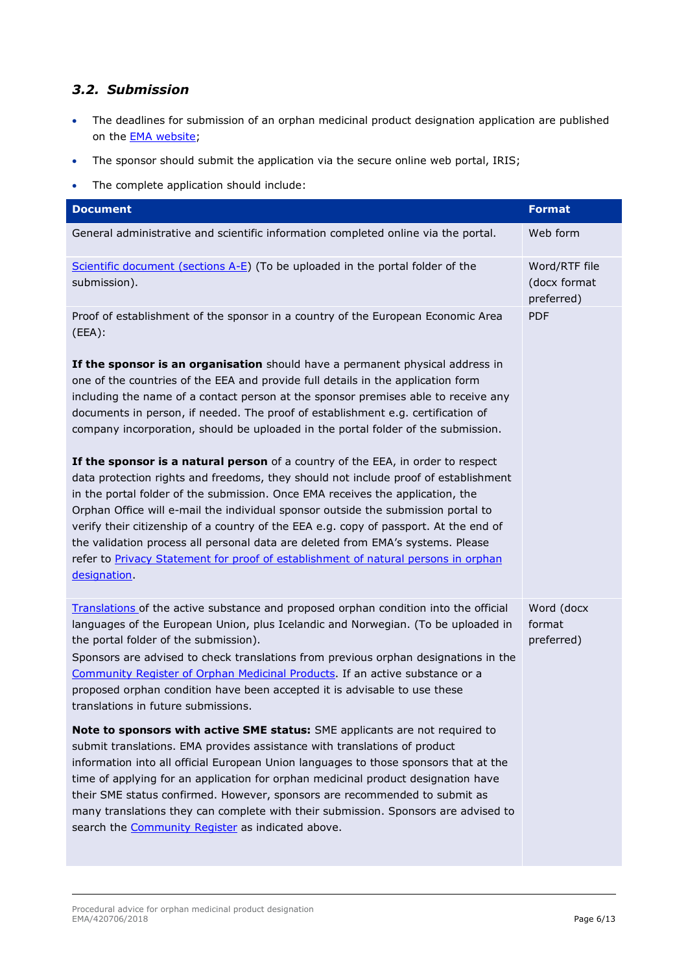## <span id="page-5-0"></span>*3.2. Submission*

- The deadlines for submission of an orphan medicinal product designation application are published on the **EMA** website;
- The sponsor should submit the application via the secure online web portal, IRIS;
- The complete application should include:

| <b>Document</b>                                                                                                                                                                                                                                                                                                                                                                                                                                                                                                                                                                                                                 | <b>Format</b>                               |
|---------------------------------------------------------------------------------------------------------------------------------------------------------------------------------------------------------------------------------------------------------------------------------------------------------------------------------------------------------------------------------------------------------------------------------------------------------------------------------------------------------------------------------------------------------------------------------------------------------------------------------|---------------------------------------------|
| General administrative and scientific information completed online via the portal.                                                                                                                                                                                                                                                                                                                                                                                                                                                                                                                                              | Web form                                    |
| Scientific document (sections A-E) (To be uploaded in the portal folder of the<br>submission).                                                                                                                                                                                                                                                                                                                                                                                                                                                                                                                                  | Word/RTF file<br>(docx format<br>preferred) |
| Proof of establishment of the sponsor in a country of the European Economic Area<br>(EEA):                                                                                                                                                                                                                                                                                                                                                                                                                                                                                                                                      | <b>PDF</b>                                  |
| If the sponsor is an organisation should have a permanent physical address in<br>one of the countries of the EEA and provide full details in the application form<br>including the name of a contact person at the sponsor premises able to receive any<br>documents in person, if needed. The proof of establishment e.g. certification of<br>company incorporation, should be uploaded in the portal folder of the submission.                                                                                                                                                                                                |                                             |
| If the sponsor is a natural person of a country of the EEA, in order to respect<br>data protection rights and freedoms, they should not include proof of establishment<br>in the portal folder of the submission. Once EMA receives the application, the<br>Orphan Office will e-mail the individual sponsor outside the submission portal to<br>verify their citizenship of a country of the EEA e.g. copy of passport. At the end of<br>the validation process all personal data are deleted from EMA's systems. Please<br>refer to Privacy Statement for proof of establishment of natural persons in orphan<br>designation. |                                             |
| Translations of the active substance and proposed orphan condition into the official<br>languages of the European Union, plus Icelandic and Norwegian. (To be uploaded in<br>the portal folder of the submission).<br>Sponsors are advised to check translations from previous orphan designations in the<br>Community Register of Orphan Medicinal Products. If an active substance or a<br>proposed orphan condition have been accepted it is advisable to use these<br>translations in future submissions.                                                                                                                   | Word (docx<br>format<br>preferred)          |
| <b>Note to sponsors with active SME status:</b> SME applicants are not required to<br>submit translations. EMA provides assistance with translations of product<br>information into all official European Union languages to those sponsors that at the<br>time of applying for an application for orphan medicinal product designation have<br>their SME status confirmed. However, sponsors are recommended to submit as<br>many translations they can complete with their submission. Sponsors are advised to<br>search the Community Register as indicated above.                                                           |                                             |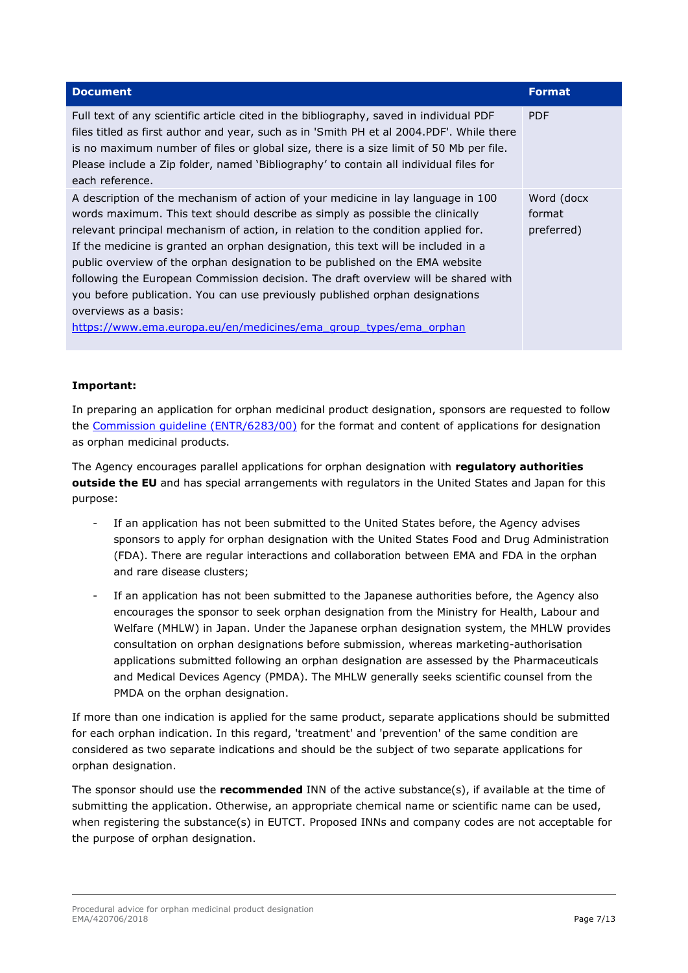| <b>Document</b>                                                                                                                                                                                                                                                                                                                                                                                                                                                                                                                                                                                                                                                                                 | <b>Format</b>                       |
|-------------------------------------------------------------------------------------------------------------------------------------------------------------------------------------------------------------------------------------------------------------------------------------------------------------------------------------------------------------------------------------------------------------------------------------------------------------------------------------------------------------------------------------------------------------------------------------------------------------------------------------------------------------------------------------------------|-------------------------------------|
| Full text of any scientific article cited in the bibliography, saved in individual PDF<br>files titled as first author and year, such as in 'Smith PH et al 2004.PDF'. While there<br>is no maximum number of files or global size, there is a size limit of 50 Mb per file.<br>Please include a Zip folder, named 'Bibliography' to contain all individual files for<br>each reference.                                                                                                                                                                                                                                                                                                        | <b>PDF</b>                          |
| A description of the mechanism of action of your medicine in lay language in 100<br>words maximum. This text should describe as simply as possible the clinically<br>relevant principal mechanism of action, in relation to the condition applied for.<br>If the medicine is granted an orphan designation, this text will be included in a<br>public overview of the orphan designation to be published on the EMA website<br>following the European Commission decision. The draft overview will be shared with<br>you before publication. You can use previously published orphan designations<br>overviews as a basis:<br>https://www.ema.europa.eu/en/medicines/ema group types/ema orphan | Word (docx)<br>format<br>preferred) |

#### **Important:**

In preparing an application for orphan medicinal product designation, sponsors are requested to follow the [Commission guideline \(ENTR/6283/00\)](http://ec.europa.eu/health/files/orphanmp/2014-03_guideline_rev4_final.pdf) for the format and content of applications for designation as orphan medicinal products.

The Agency encourages parallel applications for orphan designation with **regulatory authorities outside the EU** and has special arrangements with regulators in the United States and Japan for this purpose:

- If an application has not been submitted to the United States before, the Agency advises sponsors to apply for orphan designation with the United States Food and Drug Administration (FDA). There are regular interactions and collaboration between EMA and FDA in the orphan and rare disease clusters;
- If an application has not been submitted to the Japanese authorities before, the Agency also encourages the sponsor to seek orphan designation from the Ministry for Health, Labour and Welfare (MHLW) in Japan. Under the Japanese orphan designation system, the MHLW provides consultation on orphan designations before submission, whereas marketing-authorisation applications submitted following an orphan designation are assessed by the Pharmaceuticals and Medical Devices Agency (PMDA). The MHLW generally seeks scientific counsel from the PMDA on the orphan designation.

If more than one indication is applied for the same product, separate applications should be submitted for each orphan indication. In this regard, 'treatment' and 'prevention' of the same condition are considered as two separate indications and should be the subject of two separate applications for orphan designation.

The sponsor should use the **recommended** INN of the active substance(s), if available at the time of submitting the application. Otherwise, an appropriate chemical name or scientific name can be used, when registering the substance(s) in EUTCT. Proposed INNs and company codes are not acceptable for the purpose of orphan designation.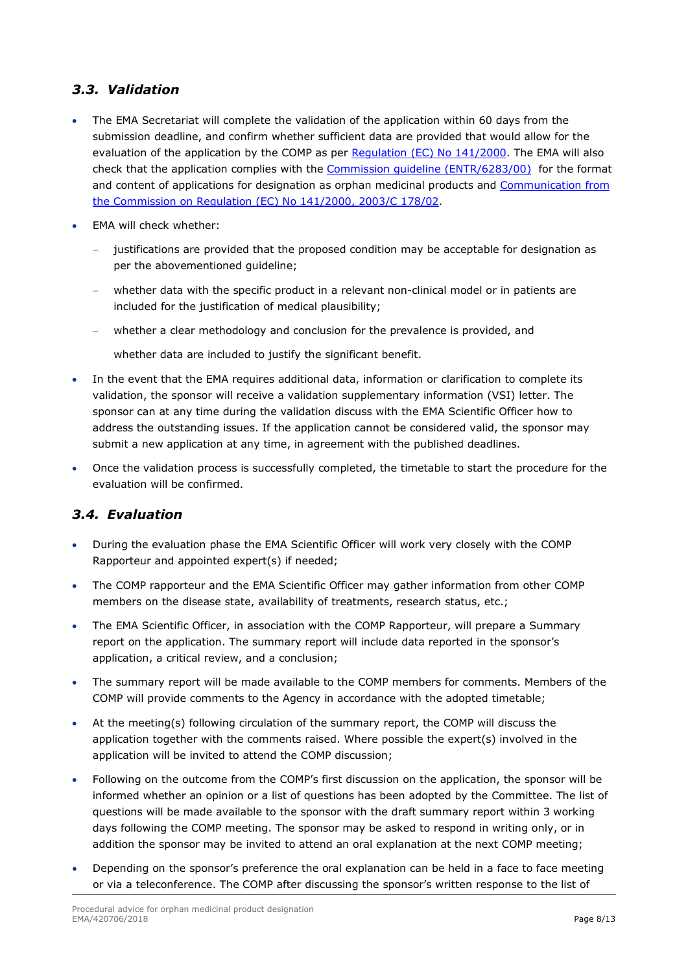## <span id="page-7-0"></span>*3.3. Validation*

- The EMA Secretariat will complete the validation of the application within 60 days from the submission deadline, and confirm whether sufficient data are provided that would allow for the evaluation of the application by the COMP as per [Regulation \(EC\) No 141/2000.](https://eur-lex.europa.eu/LexUriServ/LexUriServ.do?uri=OJ:L:2000:018:0001:0005:en:PDF) The EMA will also check that the application complies with the [Commission guideline \(ENTR/6283/00\)](https://ec.europa.eu/health/sites/health/files/files/orphanmp/2014-03_guideline_rev4_final.pdf) [for the format](http://ec.europa.eu/health/files/orphanmp/2014-03_guideline_rev4_final.pdf)  [and content of applications for designation as orphan medicinal products](http://ec.europa.eu/health/files/orphanmp/2014-03_guideline_rev4_final.pdf) and [Communication from](https://eur-lex.europa.eu/LexUriServ/LexUriServ.do?uri=OJ:C:2003:178:0002:0008:en:PDF)  [the Commission on Regulation \(EC\) No 141/2000, 2003/C 178/02.](https://eur-lex.europa.eu/LexUriServ/LexUriServ.do?uri=OJ:C:2003:178:0002:0008:en:PDF)
- EMA will check whether:
	- − justifications are provided that the proposed condition may be acceptable for designation as per the abovementioned guideline;
	- whether data with the specific product in a relevant non-clinical model or in patients are included for the justification of medical plausibility;
	- whether a clear methodology and conclusion for the prevalence is provided, and

whether data are included to justify the significant benefit.

- In the event that the EMA requires additional data, information or clarification to complete its validation, the sponsor will receive a validation supplementary information (VSI) letter. The sponsor can at any time during the validation discuss with the EMA Scientific Officer how to address the outstanding issues. If the application cannot be considered valid, the sponsor may submit a new application at any time, in agreement with the published deadlines.
- Once the validation process is successfully completed, the timetable to start the procedure for the evaluation will be confirmed.

# <span id="page-7-1"></span>*3.4. Evaluation*

- During the evaluation phase the EMA Scientific Officer will work very closely with the COMP Rapporteur and appointed expert(s) if needed;
- The COMP rapporteur and the EMA Scientific Officer may gather information from other COMP members on the disease state, availability of treatments, research status, etc.;
- The EMA Scientific Officer, in association with the COMP Rapporteur, will prepare a Summary report on the application. The summary report will include data reported in the sponsor's application, a critical review, and a conclusion;
- The summary report will be made available to the COMP members for comments. Members of the COMP will provide comments to the Agency in accordance with the adopted timetable;
- At the meeting(s) following circulation of the summary report, the COMP will discuss the application together with the comments raised. Where possible the expert(s) involved in the application will be invited to attend the COMP discussion;
- Following on the outcome from the COMP's first discussion on the application, the sponsor will be informed whether an opinion or a list of questions has been adopted by the Committee. The list of questions will be made available to the sponsor with the draft summary report within 3 working days following the COMP meeting. The sponsor may be asked to respond in writing only, or in addition the sponsor may be invited to attend an oral explanation at the next COMP meeting;
- Depending on the sponsor's preference the oral explanation can be held in a face to face meeting or via a teleconference. The COMP after discussing the sponsor's written response to the list of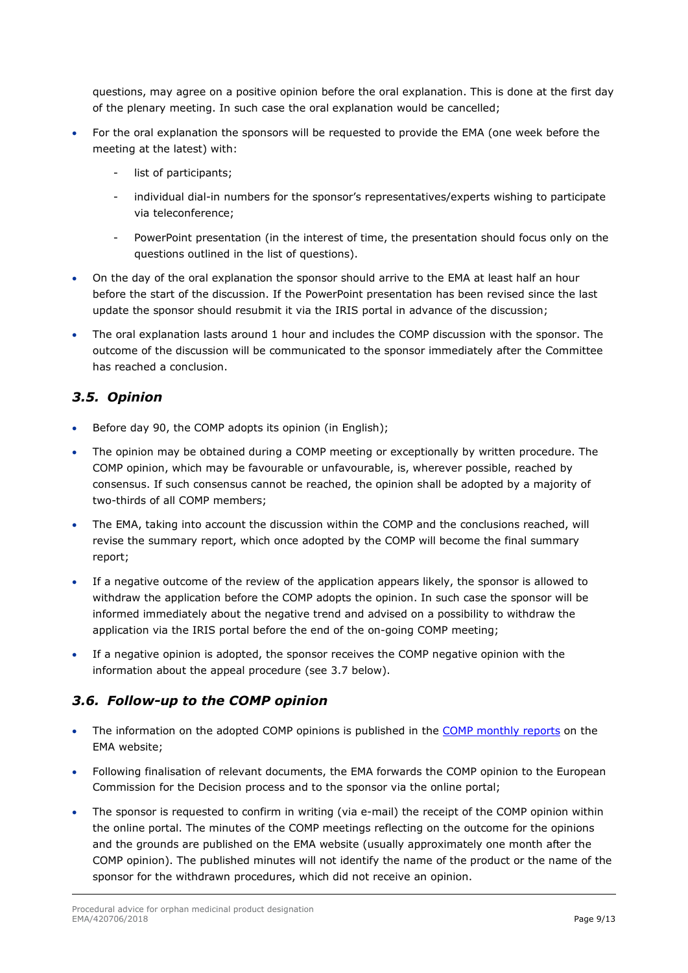questions, may agree on a positive opinion before the oral explanation. This is done at the first day of the plenary meeting. In such case the oral explanation would be cancelled;

- For the oral explanation the sponsors will be requested to provide the EMA (one week before the meeting at the latest) with:
	- list of participants;
	- individual dial-in numbers for the sponsor's representatives/experts wishing to participate via teleconference;
	- PowerPoint presentation (in the interest of time, the presentation should focus only on the questions outlined in the list of questions).
- On the day of the oral explanation the sponsor should arrive to the EMA at least half an hour before the start of the discussion. If the PowerPoint presentation has been revised since the last update the sponsor should resubmit it via the IRIS portal in advance of the discussion;
- The oral explanation lasts around 1 hour and includes the COMP discussion with the sponsor. The outcome of the discussion will be communicated to the sponsor immediately after the Committee has reached a conclusion.

## <span id="page-8-0"></span>*3.5. Opinion*

- Before day 90, the COMP adopts its opinion (in English);
- The opinion may be obtained during a COMP meeting or exceptionally by written procedure. The COMP opinion, which may be favourable or unfavourable, is, wherever possible, reached by consensus. If such consensus cannot be reached, the opinion shall be adopted by a majority of two-thirds of all COMP members;
- The EMA, taking into account the discussion within the COMP and the conclusions reached, will revise the summary report, which once adopted by the COMP will become the final summary report;
- If a negative outcome of the review of the application appears likely, the sponsor is allowed to withdraw the application before the COMP adopts the opinion. In such case the sponsor will be informed immediately about the negative trend and advised on a possibility to withdraw the application via the IRIS portal before the end of the on-going COMP meeting;
- If a negative opinion is adopted, the sponsor receives the COMP negative opinion with the information about the appeal procedure (see 3.7 below).

# <span id="page-8-1"></span>*3.6. Follow-up to the COMP opinion*

- The information on the adopted COMP opinions is published in the [COMP monthly reports](http://www.ema.europa.eu/ema/index.jsp?curl=pages/news_and_events/document_listing/document_listing_000201.jsp&mid=WC0b01ac0580028e78) on the EMA website;
- Following finalisation of relevant documents, the EMA forwards the COMP opinion to the European Commission for the Decision process and to the sponsor via the online portal;
- The sponsor is requested to confirm in writing (via e-mail) the receipt of the COMP opinion within the online portal. The minutes of the COMP meetings reflecting on the outcome for the opinions and the grounds are published on the EMA website (usually approximately one month after the COMP opinion). The published minutes will not identify the name of the product or the name of the sponsor for the withdrawn procedures, which did not receive an opinion.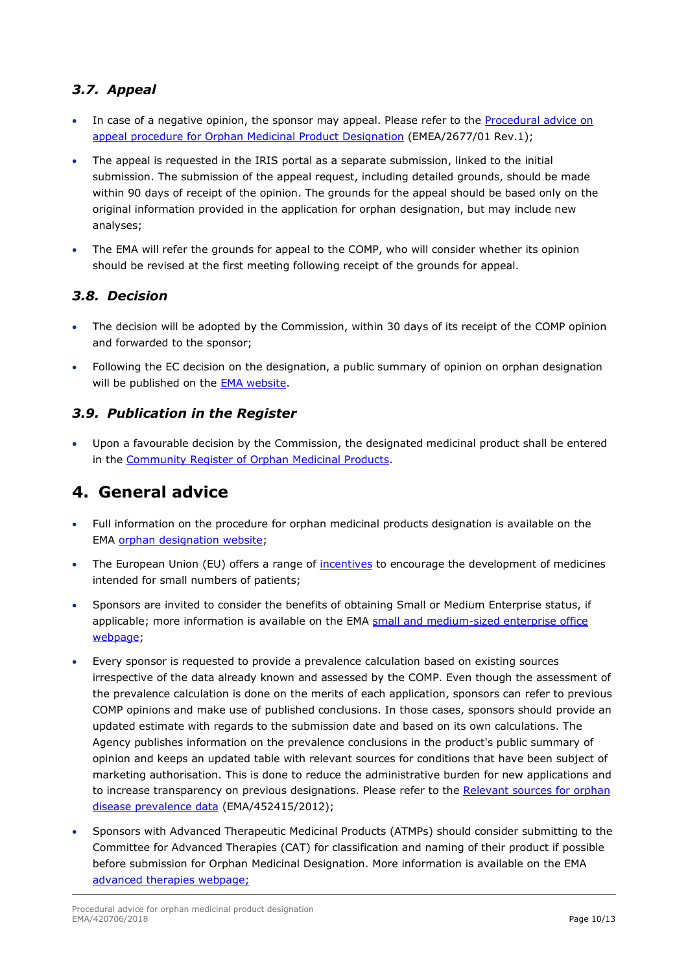# <span id="page-9-0"></span>*3.7. Appeal*

- In case of a negative opinion, the sponsor may appeal. Please refer to the Procedural advice on [appeal procedure for Orphan Medicinal Product Designation](http://www.ema.europa.eu/docs/en_GB/document_library/Regulatory_and_procedural_guideline/2009/09/WC500003783.pdf) (EMEA/2677/01 Rev.1);
- The appeal is requested in the IRIS portal as a separate submission, linked to the initial submission. The submission of the appeal request, including detailed grounds, should be made within 90 days of receipt of the opinion. The grounds for the appeal should be based only on the original information provided in the application for orphan designation, but may include new analyses;
- The EMA will refer the grounds for appeal to the COMP, who will consider whether its opinion should be revised at the first meeting following receipt of the grounds for appeal.

## <span id="page-9-1"></span>*3.8. Decision*

- The decision will be adopted by the Commission, within 30 days of its receipt of the COMP opinion and forwarded to the sponsor;
- Following the EC decision on the designation, a public summary of opinion on orphan designation will be published on the [EMA website.](http://www.ema.europa.eu/ema/index.jsp?curl=pages/medicines/landing/orphan_search.jsp&mid=WC0b01ac058001d12b)

## <span id="page-9-2"></span>*3.9. Publication in the Register*

• Upon a favourable decision by the Commission, the designated medicinal product shall be entered in the [Community Register of Orphan Medicinal Products.](http://ec.europa.eu/health/documents/community-register/html/index_en.htm)

# <span id="page-9-3"></span>**4. General advice**

- Full information on the procedure for orphan medicinal products designation is available on the EMA [orphan designation website;](http://www.ema.europa.eu/ema/index.jsp?curl=pages/regulation/general/general_content_000029.jsp&mid=WC0b01ac05800240ce)
- The European Union (EU) offers a range of [incentives](http://www.ema.europa.eu/ema/index.jsp?curl=pages/regulation/general/general_content_000393.jsp&mid=WC0b01ac0580024c5a) to encourage the development of medicines intended for small numbers of patients;
- Sponsors are invited to consider the benefits of obtaining Small or Medium Enterprise status, if applicable; more information is available on the EMA small and medium-sized enterprise office [webpage;](http://www.ema.europa.eu/ema/index.jsp?curl=pages/regulation/general/general_content_000059.jsp&mid=WC0b01ac05800240cc)
- Every sponsor is requested to provide a prevalence calculation based on existing sources irrespective of the data already known and assessed by the COMP. Even though the assessment of the prevalence calculation is done on the merits of each application, sponsors can refer to previous COMP opinions and make use of published conclusions. In those cases, sponsors should provide an updated estimate with regards to the submission date and based on its own calculations. The Agency publishes information on the prevalence conclusions in the product's public summary of opinion and keeps an updated table with relevant sources for conditions that have been subject of marketing authorisation. This is done to reduce the administrative burden for new applications and to increase transparency on previous designations. Please refer to the Relevant sources for orphan [disease prevalence data](http://www.ema.europa.eu/docs/en_GB/document_library/Other/2012/07/WC500130297.pdf) (EMA/452415/2012);
- Sponsors with Advanced Therapeutic Medicinal Products (ATMPs) should consider submitting to the Committee for Advanced Therapies (CAT) for classification and naming of their product if possible before submission for Orphan Medicinal Designation. More information is available on the EMA [advanced therapies webpage;](http://www.ema.europa.eu/ema/index.jsp?curl=pages/special_topics/general/general_content_000504.jsp&mid=WC0b01ac058050f347)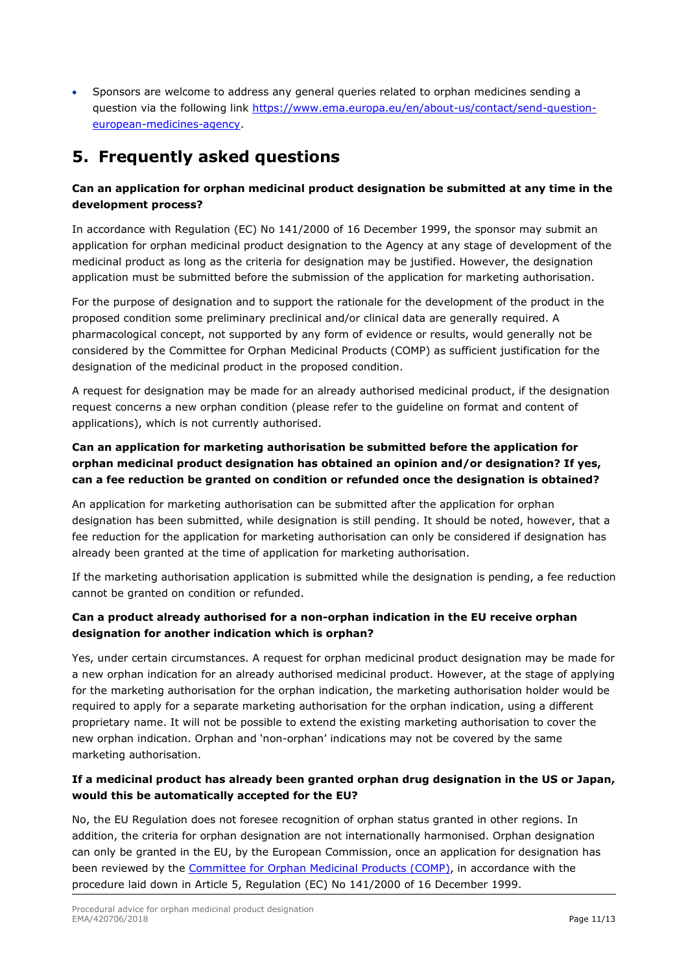• Sponsors are welcome to address any general queries related to orphan medicines sending a question via the following link [https://www.ema.europa.eu/en/about-us/contact/send-question](https://www.ema.europa.eu/en/about-us/contact/send-question-european-medicines-agency)[european-medicines-agency.](https://www.ema.europa.eu/en/about-us/contact/send-question-european-medicines-agency)

# <span id="page-10-0"></span>**5. Frequently asked questions**

### **Can an application for orphan medicinal product designation be submitted at any time in the development process?**

In accordance with Regulation (EC) No 141/2000 of 16 December 1999, the sponsor may submit an application for orphan medicinal product designation to the Agency at any stage of development of the medicinal product as long as the criteria for designation may be justified. However, the designation application must be submitted before the submission of the application for marketing authorisation.

For the purpose of designation and to support the rationale for the development of the product in the proposed condition some preliminary preclinical and/or clinical data are generally required. A pharmacological concept, not supported by any form of evidence or results, would generally not be considered by the Committee for Orphan Medicinal Products (COMP) as sufficient justification for the designation of the medicinal product in the proposed condition.

A request for designation may be made for an already authorised medicinal product, if the designation request concerns a new orphan condition (please refer to the guideline on format and content of applications), which is not currently authorised.

## **Can an application for marketing authorisation be submitted before the application for orphan medicinal product designation has obtained an opinion and/or designation? If yes, can a fee reduction be granted on condition or refunded once the designation is obtained?**

An application for marketing authorisation can be submitted after the application for orphan designation has been submitted, while designation is still pending. It should be noted, however, that a fee reduction for the application for marketing authorisation can only be considered if designation has already been granted at the time of application for marketing authorisation.

If the marketing authorisation application is submitted while the designation is pending, a fee reduction cannot be granted on condition or refunded.

## **Can a product already authorised for a non-orphan indication in the EU receive orphan designation for another indication which is orphan?**

Yes, under certain circumstances. A request for orphan medicinal product designation may be made for a new orphan indication for an already authorised medicinal product. However, at the stage of applying for the marketing authorisation for the orphan indication, the marketing authorisation holder would be required to apply for a separate marketing authorisation for the orphan indication, using a different proprietary name. It will not be possible to extend the existing marketing authorisation to cover the new orphan indication. Orphan and 'non-orphan' indications may not be covered by the same marketing authorisation.

### **If a medicinal product has already been granted orphan drug designation in the US or Japan, would this be automatically accepted for the EU?**

No, the EU Regulation does not foresee recognition of orphan status granted in other regions. In addition, the criteria for orphan designation are not internationally harmonised. Orphan designation can only be granted in the EU, by the European Commission, once an application for designation has been reviewed by the [Committee for Orphan Medicinal Products \(COMP\),](http://www.ema.europa.eu/ema/index.jsp?curl=pages/about_us/general/general_content_000123.jsp&mid=WC0b01ac0580028e32) in accordance with the procedure laid down in Article 5, Regulation (EC) No 141/2000 of 16 December 1999.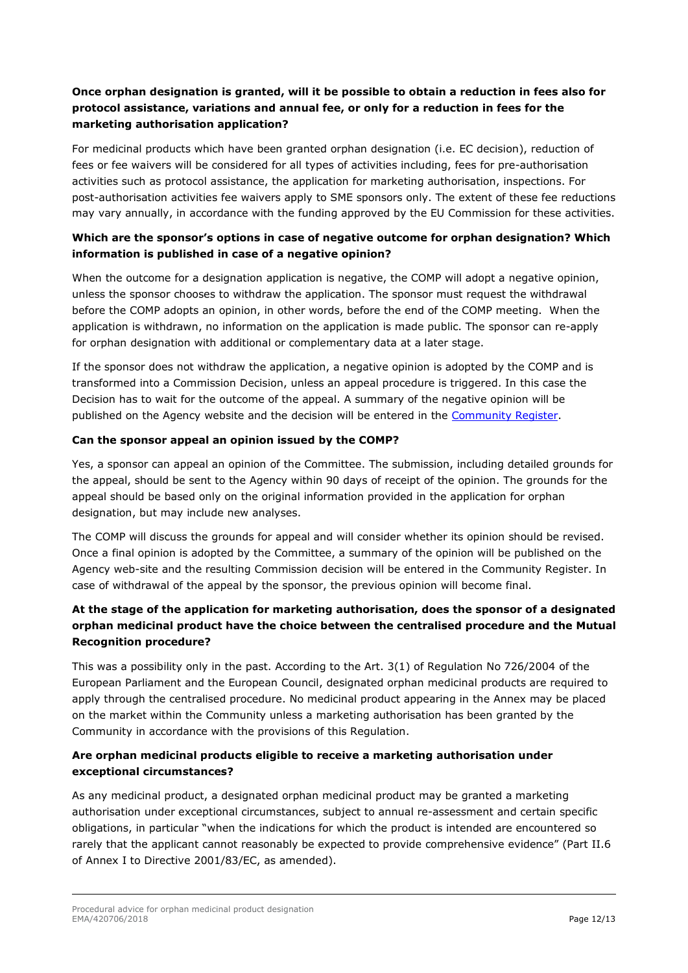### **Once orphan designation is granted, will it be possible to obtain a reduction in fees also for protocol assistance, variations and annual fee, or only for a reduction in fees for the marketing authorisation application?**

For medicinal products which have been granted orphan designation (i.e. EC decision), reduction of fees or fee waivers will be considered for all types of activities including, fees for pre-authorisation activities such as protocol assistance, the application for marketing authorisation, inspections. For post-authorisation activities fee waivers apply to SME sponsors only. The extent of these fee reductions may vary annually, in accordance with the funding approved by the EU Commission for these activities.

#### **Which are the sponsor's options in case of negative outcome for orphan designation? Which information is published in case of a negative opinion?**

When the outcome for a designation application is negative, the COMP will adopt a negative opinion, unless the sponsor chooses to withdraw the application. The sponsor must request the withdrawal before the COMP adopts an opinion, in other words, before the end of the COMP meeting. When the application is withdrawn, no information on the application is made public. The sponsor can re-apply for orphan designation with additional or complementary data at a later stage.

If the sponsor does not withdraw the application, a negative opinion is adopted by the COMP and is transformed into a Commission Decision, unless an appeal procedure is triggered. In this case the Decision has to wait for the outcome of the appeal. A summary of the negative opinion will be published on the Agency website and the decision will be entered in the [Community Register.](http://ec.europa.eu/health/documents/community-register/html/index_en.htm)

#### **Can the sponsor appeal an opinion issued by the COMP?**

Yes, a sponsor can appeal an opinion of the Committee. The submission, including detailed grounds for the appeal, should be sent to the Agency within 90 days of receipt of the opinion. The grounds for the appeal should be based only on the original information provided in the application for orphan designation, but may include new analyses.

The COMP will discuss the grounds for appeal and will consider whether its opinion should be revised. Once a final opinion is adopted by the Committee, a summary of the opinion will be published on the Agency web-site and the resulting Commission decision will be entered in the Community Register. In case of withdrawal of the appeal by the sponsor, the previous opinion will become final.

### **At the stage of the application for marketing authorisation, does the sponsor of a designated orphan medicinal product have the choice between the centralised procedure and the Mutual Recognition procedure?**

This was a possibility only in the past. According to the Art. 3(1) of Regulation No 726/2004 of the European Parliament and the European Council, designated orphan medicinal products are required to apply through the centralised procedure. No medicinal product appearing in the Annex may be placed on the market within the Community unless a marketing authorisation has been granted by the Community in accordance with the provisions of this Regulation.

#### **Are orphan medicinal products eligible to receive a marketing authorisation under exceptional circumstances?**

As any medicinal product, a designated orphan medicinal product may be granted a marketing authorisation under exceptional circumstances, subject to annual re-assessment and certain specific obligations, in particular "when the indications for which the product is intended are encountered so rarely that the applicant cannot reasonably be expected to provide comprehensive evidence" (Part II.6 of Annex I to Directive 2001/83/EC, as amended).